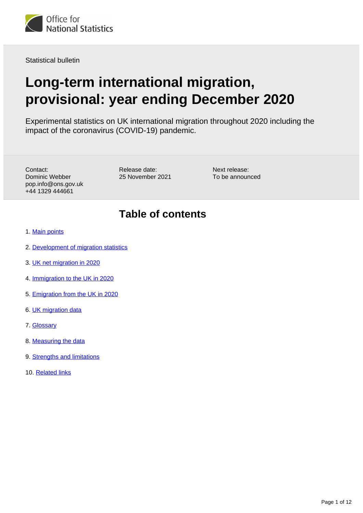

Statistical bulletin

# **Long-term international migration, provisional: year ending December 2020**

Experimental statistics on UK international migration throughout 2020 including the impact of the coronavirus (COVID-19) pandemic.

Contact: Dominic Webber pop.info@ons.gov.uk +44 1329 444661

Release date: 25 November 2021 Next release: To be announced

## **Table of contents**

- 1. [Main points](#page-1-0)
- 2. [Development of migration statistics](#page-1-1)
- 3. [UK net migration in 2020](#page-3-0)
- 4. [Immigration to the UK in 2020](#page-6-0)
- 5. [Emigration from the UK in 2020](#page-8-0)
- 6. [UK migration data](#page-9-0)
- 7. [Glossary](#page-9-1)
- 8. [Measuring the data](#page-10-0)
- 9. [Strengths and limitations](#page-10-1)
- 10. [Related links](#page-11-0)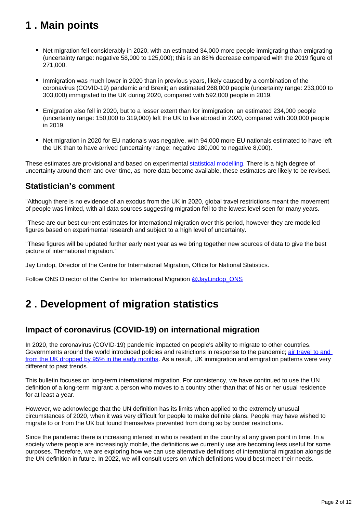## <span id="page-1-0"></span>**1 . Main points**

- Net migration fell considerably in 2020, with an estimated 34,000 more people immigrating than emigrating (uncertainty range: negative 58,000 to 125,000); this is an 88% decrease compared with the 2019 figure of 271,000.
- Immigration was much lower in 2020 than in previous years, likely caused by a combination of the coronavirus (COVID-19) pandemic and Brexit; an estimated 268,000 people (uncertainty range: 233,000 to 303,000) immigrated to the UK during 2020, compared with 592,000 people in 2019.
- Emigration also fell in 2020, but to a lesser extent than for immigration; an estimated 234,000 people (uncertainty range: 150,000 to 319,000) left the UK to live abroad in 2020, compared with 300,000 people in 2019.
- Net migration in 2020 for EU nationals was negative, with 94,000 more EU nationals estimated to have left the UK than to have arrived (uncertainty range: negative 180,000 to negative 8,000).

These estimates are provisional and based on experimental [statistical modelling.](https://www.ons.gov.uk/methodology/methodologicalpublications/generalmethodology/onsworkingpaperseries/usingstatisticalmodellingtoestimateukinternationalmigration) There is a high degree of uncertainty around them and over time, as more data become available, these estimates are likely to be revised.

### **Statistician's comment**

"Although there is no evidence of an exodus from the UK in 2020, global travel restrictions meant the movement of people was limited, with all data sources suggesting migration fell to the lowest level seen for many years.

"These are our best current estimates for international migration over this period, however they are modelled figures based on experimental research and subject to a high level of uncertainty.

"These figures will be updated further early next year as we bring together new sources of data to give the best picture of international migration."

Jay Lindop, Director of the Centre for International Migration, Office for National Statistics.

Follow ONS Director of the Centre for International Migration @JayLindop ONS

## <span id="page-1-1"></span>**2 . Development of migration statistics**

### **Impact of coronavirus (COVID-19) on international migration**

In 2020, the coronavirus (COVID-19) pandemic impacted on people's ability to migrate to other countries. Governments around the world introduced policies and restrictions in response to the pandemic; [air travel to and](https://www.ons.gov.uk/peoplepopulationandcommunity/populationandmigration/internationalmigration/articles/internationalmigrationandmobilitywhatschangedsincethecoronaviruspandemic/2020-11-26)  [from the UK dropped by 95% in the early months.](https://www.ons.gov.uk/peoplepopulationandcommunity/populationandmigration/internationalmigration/articles/internationalmigrationandmobilitywhatschangedsincethecoronaviruspandemic/2020-11-26) As a result, UK immigration and emigration patterns were very different to past trends.

This bulletin focuses on long-term international migration. For consistency, we have continued to use the UN definition of a long-term migrant: a person who moves to a country other than that of his or her usual residence for at least a year.

However, we acknowledge that the UN definition has its limits when applied to the extremely unusual circumstances of 2020, when it was very difficult for people to make definite plans. People may have wished to migrate to or from the UK but found themselves prevented from doing so by border restrictions.

Since the pandemic there is increasing interest in who is resident in the country at any given point in time. In a society where people are increasingly mobile, the definitions we currently use are becoming less useful for some purposes. Therefore, we are exploring how we can use alternative definitions of international migration alongside the UN definition in future. In 2022, we will consult users on which definitions would best meet their needs.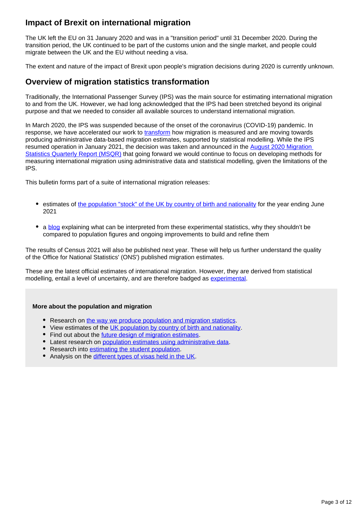### **Impact of Brexit on international migration**

The UK left the EU on 31 January 2020 and was in a "transition period" until 31 December 2020. During the transition period, the UK continued to be part of the customs union and the single market, and people could migrate between the UK and the EU without needing a visa.

The extent and nature of the impact of Brexit upon people's migration decisions during 2020 is currently unknown.

### **Overview of migration statistics transformation**

Traditionally, the International Passenger Survey (IPS) was the main source for estimating international migration to and from the UK. However, we had long acknowledged that the IPS had been stretched beyond its original purpose and that we needed to consider all available sources to understand international migration.

In March 2020, the IPS was suspended because of the onset of the coronavirus (COVID-19) pandemic. In response, we have accelerated our work to [transform](https://www.ons.gov.uk/peoplepopulationandcommunity/populationandmigration/internationalmigration/articles/transformationofthepopulationandmigrationstatisticssystemoverview/2021-11-15) how migration is measured and are moving towards producing administrative data-based migration estimates, supported by statistical modelling. While the IPS resumed operation in January 2021, the decision was taken and announced in the [August 2020 Migration](https://www.ons.gov.uk/peoplepopulationandcommunity/populationandmigration/internationalmigration/bulletins/migrationstatisticsquarterlyreport/august2020)  [Statistics Quarterly Report \(MSQR\)](https://www.ons.gov.uk/peoplepopulationandcommunity/populationandmigration/internationalmigration/bulletins/migrationstatisticsquarterlyreport/august2020) that going forward we would continue to focus on developing methods for measuring international migration using administrative data and statistical modelling, given the limitations of the IPS.

This bulletin forms part of a suite of international migration releases:

- estimates of [the population "stock" of the UK by country of birth and nationality](http://www.ons.gov.uk/peoplepopulationandcommunity/populationandmigration/internationalmigration/bulletins/ukpopulationbycountryofbirthandnationality/yearendingjune2021) for the year ending June 2021
- a [blog](https://blog.ons.gov.uk/2021/11/25/experimental-migration-data-no-evidence-of-uk-exodus/) explaining what can be interpreted from these experimental statistics, why they shouldn't be compared to population figures and ongoing improvements to build and refine them

The results of Census 2021 will also be published next year. These will help us further understand the quality of the Office for National Statistics' (ONS') published migration estimates.

These are the latest official estimates of international migration. However, they are derived from statistical modelling, entail a level of uncertainty, and are therefore badged as [experimental](https://www.ons.gov.uk/methodology/methodologytopicsandstatisticalconcepts/guidetoexperimentalstatistics).

#### **More about the population and migration**

- Research on [the way we produce population and migration statistics](https://www.ons.gov.uk/peoplepopulationandcommunity/populationandmigration/internationalmigration/articles/adminbasedpopulationandmigrationestimates/researchupdate).
- View estimates of the [UK population by country of birth and nationality.](https://www.ons.gov.uk/peoplepopulationandcommunity/populationandmigration/internationalmigration/bulletins/ukpopulationbycountryofbirthandnationality/yearendingjune2021)
- Find out about the *future design of migration estimates*.
- Latest research on [population estimates using administrative data](https://www.ons.gov.uk/peoplepopulationandcommunity/populationandmigration/internationalmigration/articles/developingadminbasedpopulationestimatesenglandandwales/2016to2020).
- **•** Research into [estimating the student population](https://www.ons.gov.uk/peoplepopulationandcommunity/populationandmigration/internationalmigration/articles/understandingstudentsacrossadministrativedatainenglandandwales/2021-11-26).
- Analysis on the [different types of visas held in the UK.](https://www.ons.gov.uk/peoplepopulationandcommunity/populationandmigration/internationalmigration/articles/visajourneysandstudentoutcomes/2021-11-29)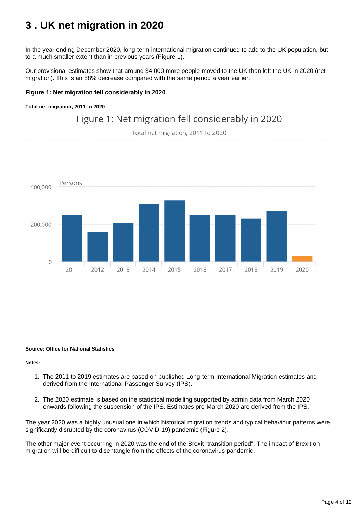## <span id="page-3-0"></span>**3 . UK net migration in 2020**

In the year ending December 2020, long-term international migration continued to add to the UK population, but to a much smaller extent than in previous years (Figure 1).

Our provisional estimates show that around 34,000 more people moved to the UK than left the UK in 2020 (net migration). This is an 88% decrease compared with the same period a year earlier.

#### **Figure 1: Net migration fell considerably in 2020**

**Total net migration, 2011 to 2020**

## Figure 1: Net migration fell considerably in 2020

Total net migration, 2011 to 2020



#### **Source: Office for National Statistics**

**Notes:**

- 1. The 2011 to 2019 estimates are based on published Long-term International Migration estimates and derived from the International Passenger Survey (IPS).
- 2. The 2020 estimate is based on the statistical modelling supported by admin data from March 2020 onwards following the suspension of the IPS. Estimates pre-March 2020 are derived from the IPS.

The year 2020 was a highly unusual one in which historical migration trends and typical behaviour patterns were significantly disrupted by the coronavirus (COVID-19) pandemic (Figure 2).

The other major event occurring in 2020 was the end of the Brexit "transition period". The impact of Brexit on migration will be difficult to disentangle from the effects of the coronavirus pandemic.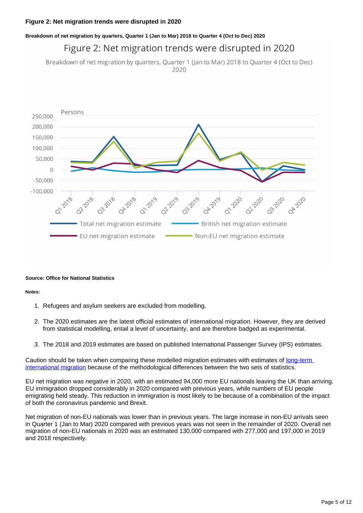#### **Breakdown of net migration by quarters, Quarter 1 (Jan to Mar) 2018 to Quarter 4 (Oct to Dec) 2020**

## Figure 2: Net migration trends were disrupted in 2020

Breakdown of net migration by quarters, Quarter 1 (Jan to Mar) 2018 to Quarter 4 (Oct to Dec) 2020



#### **Source: Office for National Statistics**

#### **Notes:**

- 1. Refugees and asylum seekers are excluded from modelling.
- 2. The 2020 estimates are the latest official estimates of international migration. However, they are derived from statistical modelling, entail a level of uncertainty, and are therefore badged as experimental.
- 3. The 2018 and 2019 estimates are based on published International Passenger Survey (IPS) estimates.

Caution should be taken when comparing these modelled migration estimates with estimates of long-term [international migration](https://www.ons.gov.uk/peoplepopulationandcommunity/populationandmigration/internationalmigration/datasets/migrationstatisticsquarterlyreportprovisionallongterminternationalmigrationltimestimates) because of the methodological differences between the two sets of statistics.

EU net migration was negative in 2020, with an estimated 94,000 more EU nationals leaving the UK than arriving. EU immigration dropped considerably in 2020 compared with previous years, while numbers of EU people emigrating held steady. This reduction in immigration is most likely to be because of a combination of the impact of both the coronavirus pandemic and Brexit.

Net migration of non-EU nationals was lower than in previous years. The large increase in non-EU arrivals seen in Quarter 1 (Jan to Mar) 2020 compared with previous years was not seen in the remainder of 2020. Overall net migration of non-EU nationals in 2020 was an estimated 130,000 compared with 277,000 and 197,000 in 2019 and 2018 respectively.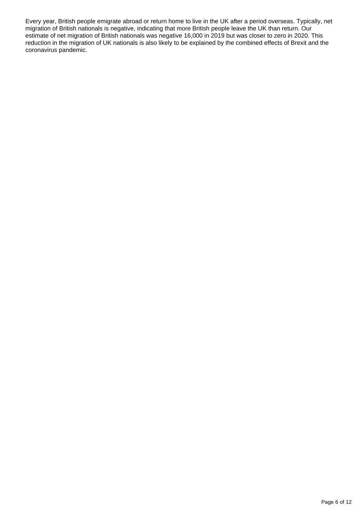Every year, British people emigrate abroad or return home to live in the UK after a period overseas. Typically, net migration of British nationals is negative, indicating that more British people leave the UK than return. Our estimate of net migration of British nationals was negative 16,000 in 2019 but was closer to zero in 2020. This reduction in the migration of UK nationals is also likely to be explained by the combined effects of Brexit and the coronavirus pandemic.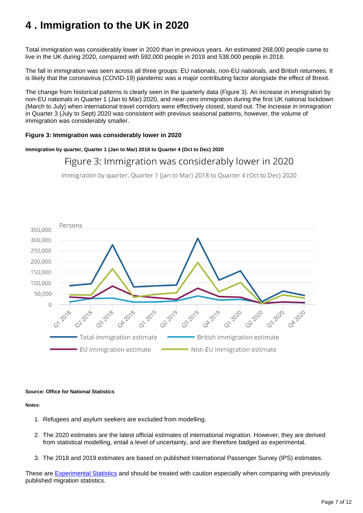## <span id="page-6-0"></span>**4 . Immigration to the UK in 2020**

Total immigration was considerably lower in 2020 than in previous years. An estimated 268,000 people came to live in the UK during 2020, compared with 592,000 people in 2019 and 538,000 people in 2018.

The fall in immigration was seen across all three groups: EU nationals, non-EU nationals, and British returnees. It is likely that the coronavirus (COVID-19) pandemic was a major contributing factor alongside the effect of Brexit.

The change from historical patterns is clearly seen in the quarterly data (Figure 3). An increase in immigration by non-EU nationals in Quarter 1 (Jan to Mar) 2020, and near-zero immigration during the first UK national lockdown (March to July) when international travel corridors were effectively closed, stand out. The increase in immigration in Quarter 3 (July to Sept) 2020 was consistent with previous seasonal patterns, however, the volume of immigration was considerably smaller.

#### **Figure 3: Immigration was considerably lower in 2020**

#### **Immigration by quarter, Quarter 1 (Jan to Mar) 2018 to Quarter 4 (Oct to Dec) 2020**

### Figure 3: Immigration was considerably lower in 2020

Immigration by quarter, Quarter 1 (Jan to Mar) 2018 to Quarter 4 (Oct to Dec) 2020



#### **Source: Office for National Statistics**

**Notes:**

- 1. Refugees and asylum seekers are excluded from modelling.
- 2. The 2020 estimates are the latest official estimates of international migration. However, they are derived from statistical modelling, entail a level of uncertainty, and are therefore badged as experimental.
- 3. The 2018 and 2019 estimates are based on published International Passenger Survey (IPS) estimates.

These are **[Experimental Statistics](https://www.ons.gov.uk/methodology/methodologytopicsandstatisticalconcepts/guidetoexperimentalstatistics)** and should be treated with caution especially when comparing with previously published migration statistics.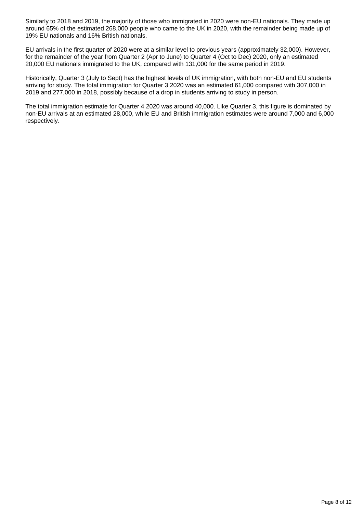Similarly to 2018 and 2019, the majority of those who immigrated in 2020 were non-EU nationals. They made up around 65% of the estimated 268,000 people who came to the UK in 2020, with the remainder being made up of 19% EU nationals and 16% British nationals.

EU arrivals in the first quarter of 2020 were at a similar level to previous years (approximately 32,000). However, for the remainder of the year from Quarter 2 (Apr to June) to Quarter 4 (Oct to Dec) 2020, only an estimated 20,000 EU nationals immigrated to the UK, compared with 131,000 for the same period in 2019.

Historically, Quarter 3 (July to Sept) has the highest levels of UK immigration, with both non-EU and EU students arriving for study. The total immigration for Quarter 3 2020 was an estimated 61,000 compared with 307,000 in 2019 and 277,000 in 2018, possibly because of a drop in students arriving to study in person.

The total immigration estimate for Quarter 4 2020 was around 40,000. Like Quarter 3, this figure is dominated by non-EU arrivals at an estimated 28,000, while EU and British immigration estimates were around 7,000 and 6,000 respectively.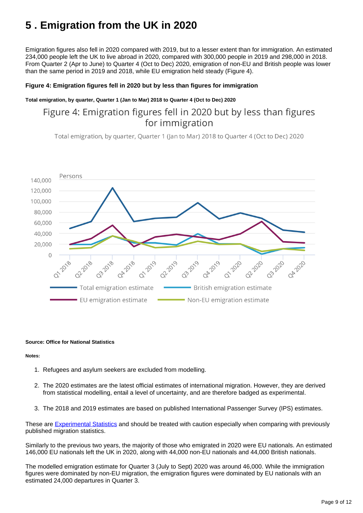## <span id="page-8-0"></span>**5 . Emigration from the UK in 2020**

Emigration figures also fell in 2020 compared with 2019, but to a lesser extent than for immigration. An estimated 234,000 people left the UK to live abroad in 2020, compared with 300,000 people in 2019 and 298,000 in 2018. From Quarter 2 (Apr to June) to Quarter 4 (Oct to Dec) 2020, emigration of non-EU and British people was lower than the same period in 2019 and 2018, while EU emigration held steady (Figure 4).

#### **Figure 4: Emigration figures fell in 2020 but by less than figures for immigration**

#### **Total emigration, by quarter, Quarter 1 (Jan to Mar) 2018 to Quarter 4 (Oct to Dec) 2020**

## Figure 4: Emigration figures fell in 2020 but by less than figures for immigration

Total emigration, by quarter, Quarter 1 (Jan to Mar) 2018 to Quarter 4 (Oct to Dec) 2020



#### **Source: Office for National Statistics**

#### **Notes:**

- 1. Refugees and asylum seekers are excluded from modelling.
- 2. The 2020 estimates are the latest official estimates of international migration. However, they are derived from statistical modelling, entail a level of uncertainty, and are therefore badged as experimental.
- 3. The 2018 and 2019 estimates are based on published International Passenger Survey (IPS) estimates.

These are [Experimental Statistics](https://www.ons.gov.uk/methodology/methodologytopicsandstatisticalconcepts/guidetoexperimentalstatistics) and should be treated with caution especially when comparing with previously published migration statistics.

Similarly to the previous two years, the majority of those who emigrated in 2020 were EU nationals. An estimated 146,000 EU nationals left the UK in 2020, along with 44,000 non-EU nationals and 44,000 British nationals.

The modelled emigration estimate for Quarter 3 (July to Sept) 2020 was around 46,000. While the immigration figures were dominated by non-EU migration, the emigration figures were dominated by EU nationals with an estimated 24,000 departures in Quarter 3.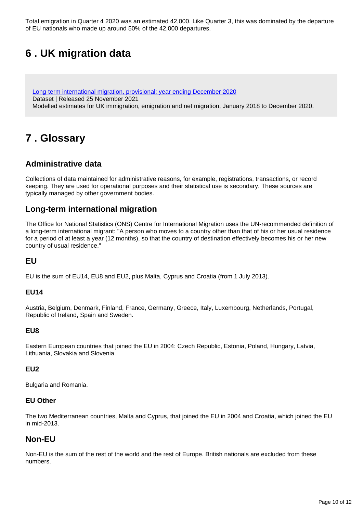Total emigration in Quarter 4 2020 was an estimated 42,000. Like Quarter 3, this was dominated by the departure of EU nationals who made up around 50% of the 42,000 departures.

## <span id="page-9-0"></span>**6 . UK migration data**

[Long-term international migration, provisional: year ending December 2020](https://www.ons.gov.uk/peoplepopulationandcommunity/populationandmigration/internationalmigration/datasets/longterminternationalmigrationprovisional) Dataset | Released 25 November 2021 Modelled estimates for UK immigration, emigration and net migration, January 2018 to December 2020.

## <span id="page-9-1"></span>**7 . Glossary**

### **Administrative data**

Collections of data maintained for administrative reasons, for example, registrations, transactions, or record keeping. They are used for operational purposes and their statistical use is secondary. These sources are typically managed by other government bodies.

### **Long-term international migration**

The Office for National Statistics (ONS) Centre for International Migration uses the UN-recommended definition of a long-term international migrant: "A person who moves to a country other than that of his or her usual residence for a period of at least a year (12 months), so that the country of destination effectively becomes his or her new country of usual residence."

### **EU**

EU is the sum of EU14, EU8 and EU2, plus Malta, Cyprus and Croatia (from 1 July 2013).

#### **EU14**

Austria, Belgium, Denmark, Finland, France, Germany, Greece, Italy, Luxembourg, Netherlands, Portugal, Republic of Ireland, Spain and Sweden.

#### **EU8**

Eastern European countries that joined the EU in 2004: Czech Republic, Estonia, Poland, Hungary, Latvia, Lithuania, Slovakia and Slovenia.

#### **EU2**

Bulgaria and Romania.

#### **EU Other**

The two Mediterranean countries, Malta and Cyprus, that joined the EU in 2004 and Croatia, which joined the EU in mid-2013.

### **Non-EU**

Non-EU is the sum of the rest of the world and the rest of Europe. British nationals are excluded from these numbers.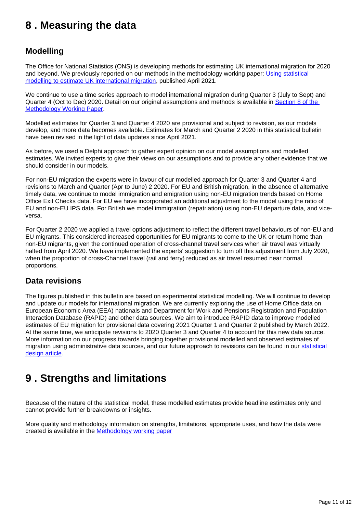## <span id="page-10-0"></span>**8 . Measuring the data**

### **Modelling**

The Office for National Statistics (ONS) is developing methods for estimating UK international migration for 2020 and beyond. We previously reported on our methods in the methodology working paper: [Using statistical](https://www.ons.gov.uk/methodology/methodologicalpublications/generalmethodology/onsworkingpaperseries/usingstatisticalmodellingtoestimateukinternationalmigration)  [modelling to estimate UK international migration,](https://www.ons.gov.uk/methodology/methodologicalpublications/generalmethodology/onsworkingpaperseries/usingstatisticalmodellingtoestimateukinternationalmigration) published April 2021.

We continue to use a time series approach to model international migration during Quarter 3 (July to Sept) and Quarter 4 (Oct to Dec) 2020. Detail on our original assumptions and methods is available in Section 8 of the [Methodology Working Paper.](https://www.ons.gov.uk/methodology/methodologicalpublications/generalmethodology/onsworkingpaperseries/usingstatisticalmodellingtoestimateukinternationalmigration#multivariate-state-space-modelling)

Modelled estimates for Quarter 3 and Quarter 4 2020 are provisional and subject to revision, as our models develop, and more data becomes available. Estimates for March and Quarter 2 2020 in this statistical bulletin have been revised in the light of data updates since April 2021.

As before, we used a Delphi approach to gather expert opinion on our model assumptions and modelled estimates. We invited experts to give their views on our assumptions and to provide any other evidence that we should consider in our models.

For non-EU migration the experts were in favour of our modelled approach for Quarter 3 and Quarter 4 and revisions to March and Quarter (Apr to June) 2 2020. For EU and British migration, in the absence of alternative timely data, we continue to model immigration and emigration using non-EU migration trends based on Home Office Exit Checks data. For EU we have incorporated an additional adjustment to the model using the ratio of EU and non-EU IPS data. For British we model immigration (repatriation) using non-EU departure data, and viceversa.

For Quarter 2 2020 we applied a travel options adjustment to reflect the different travel behaviours of non-EU and EU migrants. This considered increased opportunities for EU migrants to come to the UK or return home than non-EU migrants, given the continued operation of cross-channel travel services when air travel was virtually halted from April 2020. We have implemented the experts' suggestion to turn off this adjustment from July 2020, when the proportion of cross-Channel travel (rail and ferry) reduced as air travel resumed near normal proportions.

### **Data revisions**

The figures published in this bulletin are based on experimental statistical modelling. We will continue to develop and update our models for international migration. We are currently exploring the use of Home Office data on European Economic Area (EEA) nationals and Department for Work and Pensions Registration and Population Interaction Database (RAPID) and other data sources. We aim to introduce RAPID data to improve modelled estimates of EU migration for provisional data covering 2021 Quarter 1 and Quarter 2 published by March 2022. At the same time, we anticipate revisions to 2020 Quarter 3 and Quarter 4 to account for this new data source. More information on our progress towards bringing together provisional modelled and observed estimates of migration using administrative data sources, and our future approach to revisions can be found in our [statistical](https://www.ons.gov.uk/peoplepopulationandcommunity/populationandmigration/internationalmigration/articles/internationalmigrationstatisticaldesignprogressreport/2021-11-26)  [design article](https://www.ons.gov.uk/peoplepopulationandcommunity/populationandmigration/internationalmigration/articles/internationalmigrationstatisticaldesignprogressreport/2021-11-26).

## <span id="page-10-1"></span>**9 . Strengths and limitations**

Because of the nature of the statistical model, these modelled estimates provide headline estimates only and cannot provide further breakdowns or insights.

More quality and methodology information on strengths, limitations, appropriate uses, and how the data were created is available in the [Methodology working paper](https://www.ons.gov.uk/methodology/methodologicalpublications/generalmethodology/onsworkingpaperseries/usingstatisticalmodellingtoestimateukinternationalmigration)